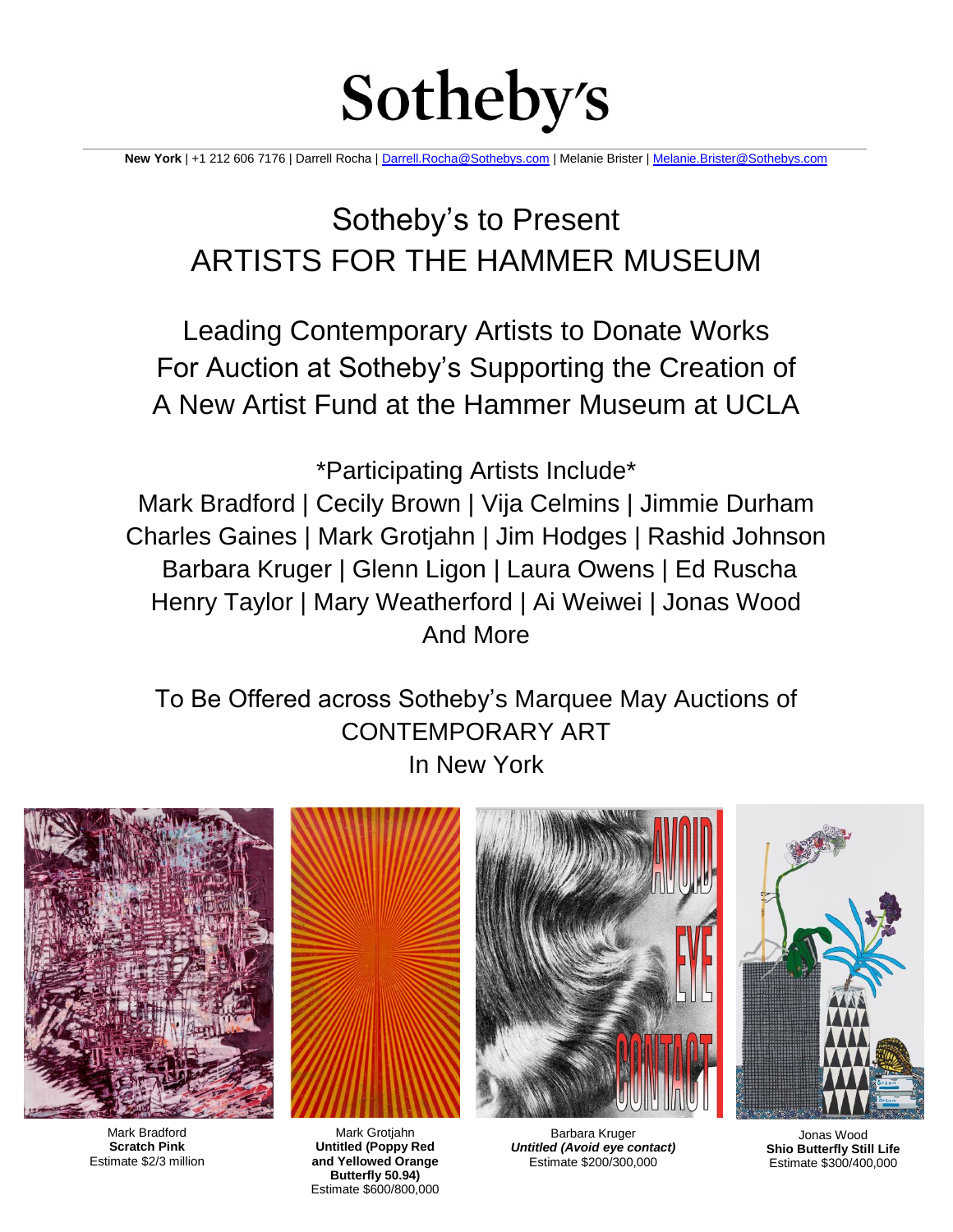# Sotheby's

**New York** | +1 212 606 7176 | Darrell Rocha [| Darrell.Rocha@Sothebys.com](mailto:Darrell.Rocha@Sothebys.com) | Melanie Brister [| Melanie.Brister@Sothebys.com](mailto:Melanie.Brister@Sothebys.com)

Sotheby's to Present ARTISTS FOR THE HAMMER MUSEUM

Leading Contemporary Artists to Donate Works For Auction at Sotheby's Supporting the Creation of A New Artist Fund at the Hammer Museum at UCLA

\*Participating Artists Include\*

Mark Bradford | Cecily Brown | Vija Celmins | Jimmie Durham Charles Gaines | Mark Grotjahn | Jim Hodges | Rashid Johnson Barbara Kruger | Glenn Ligon | Laura Owens | Ed Ruscha Henry Taylor | Mary Weatherford | Ai Weiwei | Jonas Wood And More

To Be Offered across Sotheby's Marquee May Auctions of CONTEMPORARY ART In New York



Mark Bradford **Scratch Pink**  Estimate \$2/3 million



Mark Grotjahn **Untitled (Poppy Red and Yellowed Orange Butterfly 50.94)**  Estimate \$600/800,000



Barbara Kruger *Untitled (Avoid eye contact)* Estimate \$200/300,000



Jonas Wood **Shio Butterfly Still Life**  Estimate \$300/400,000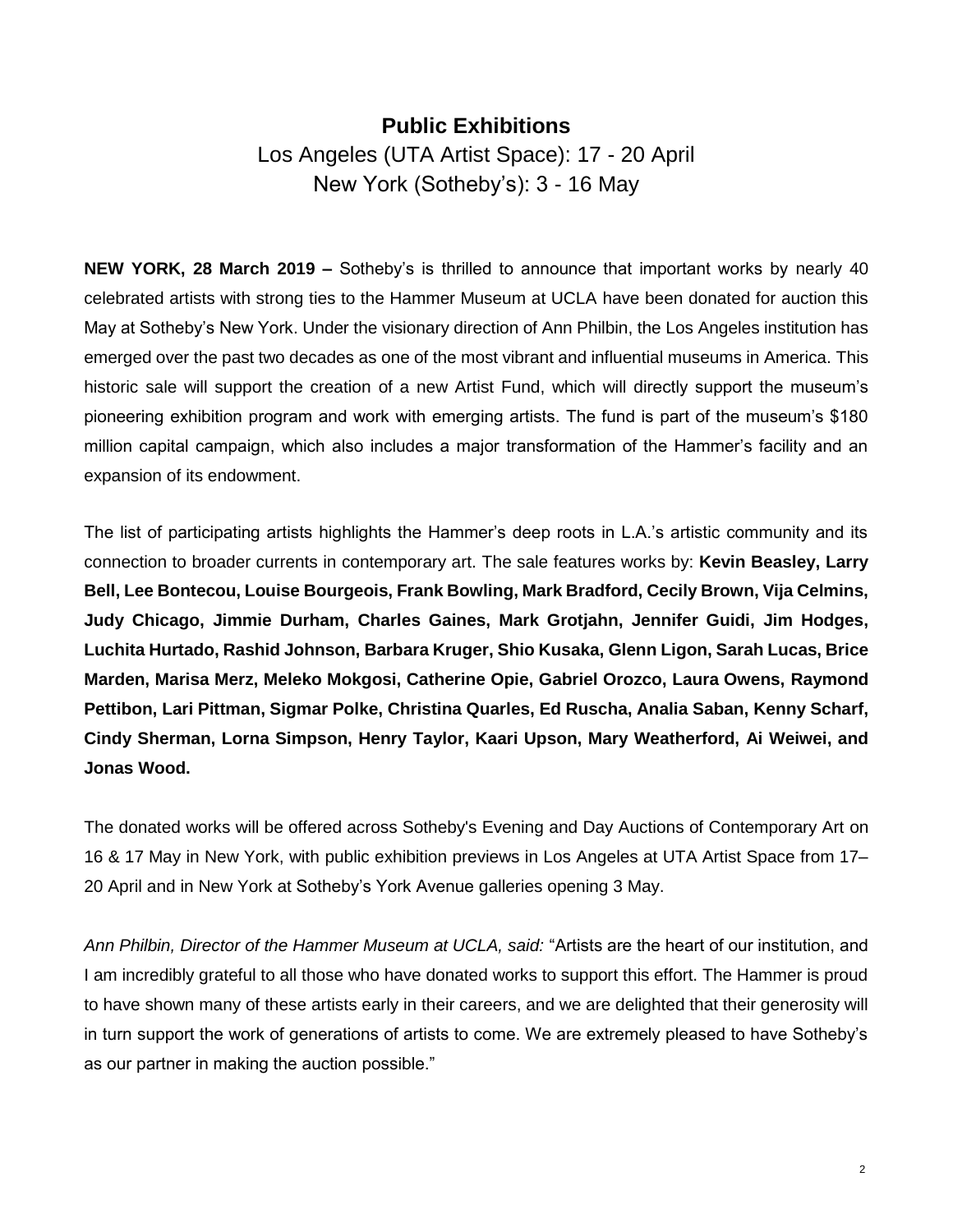# **Public Exhibitions** Los Angeles (UTA Artist Space): 17 - 20 April New York (Sotheby's): 3 - 16 May

**NEW YORK, 28 March 2019 –** Sotheby's is thrilled to announce that important works by nearly 40 celebrated artists with strong ties to the Hammer Museum at UCLA have been donated for auction this May at Sotheby's New York. Under the visionary direction of Ann Philbin, the Los Angeles institution has emerged over the past two decades as one of the most vibrant and influential museums in America. This historic sale will support the creation of a new Artist Fund, which will directly support the museum's pioneering exhibition program and work with emerging artists. The fund is part of the museum's \$180 million capital campaign, which also includes a major transformation of the Hammer's facility and an expansion of its endowment.

The list of participating artists highlights the Hammer's deep roots in L.A.'s artistic community and its connection to broader currents in contemporary art. The sale features works by: **Kevin Beasley, Larry Bell, Lee Bontecou, Louise Bourgeois, Frank Bowling, Mark Bradford, Cecily Brown, Vija Celmins, Judy Chicago, Jimmie Durham, Charles Gaines, Mark Grotjahn, Jennifer Guidi, Jim Hodges, Luchita Hurtado, Rashid Johnson, Barbara Kruger, Shio Kusaka, Glenn Ligon, Sarah Lucas, Brice Marden, Marisa Merz, Meleko Mokgosi, Catherine Opie, Gabriel Orozco, Laura Owens, Raymond Pettibon, Lari Pittman, Sigmar Polke, Christina Quarles, Ed Ruscha, Analia Saban, Kenny Scharf, Cindy Sherman, Lorna Simpson, Henry Taylor, Kaari Upson, Mary Weatherford, Ai Weiwei, and Jonas Wood.** 

The donated works will be offered across Sotheby's Evening and Day Auctions of Contemporary Art on 16 & 17 May in New York, with public exhibition previews in Los Angeles at UTA Artist Space from 17– 20 April and in New York at Sotheby's York Avenue galleries opening 3 May.

*Ann Philbin, Director of the Hammer Museum at UCLA, said:* "Artists are the heart of our institution, and I am incredibly grateful to all those who have donated works to support this effort. The Hammer is proud to have shown many of these artists early in their careers, and we are delighted that their generosity will in turn support the work of generations of artists to come. We are extremely pleased to have Sotheby's as our partner in making the auction possible."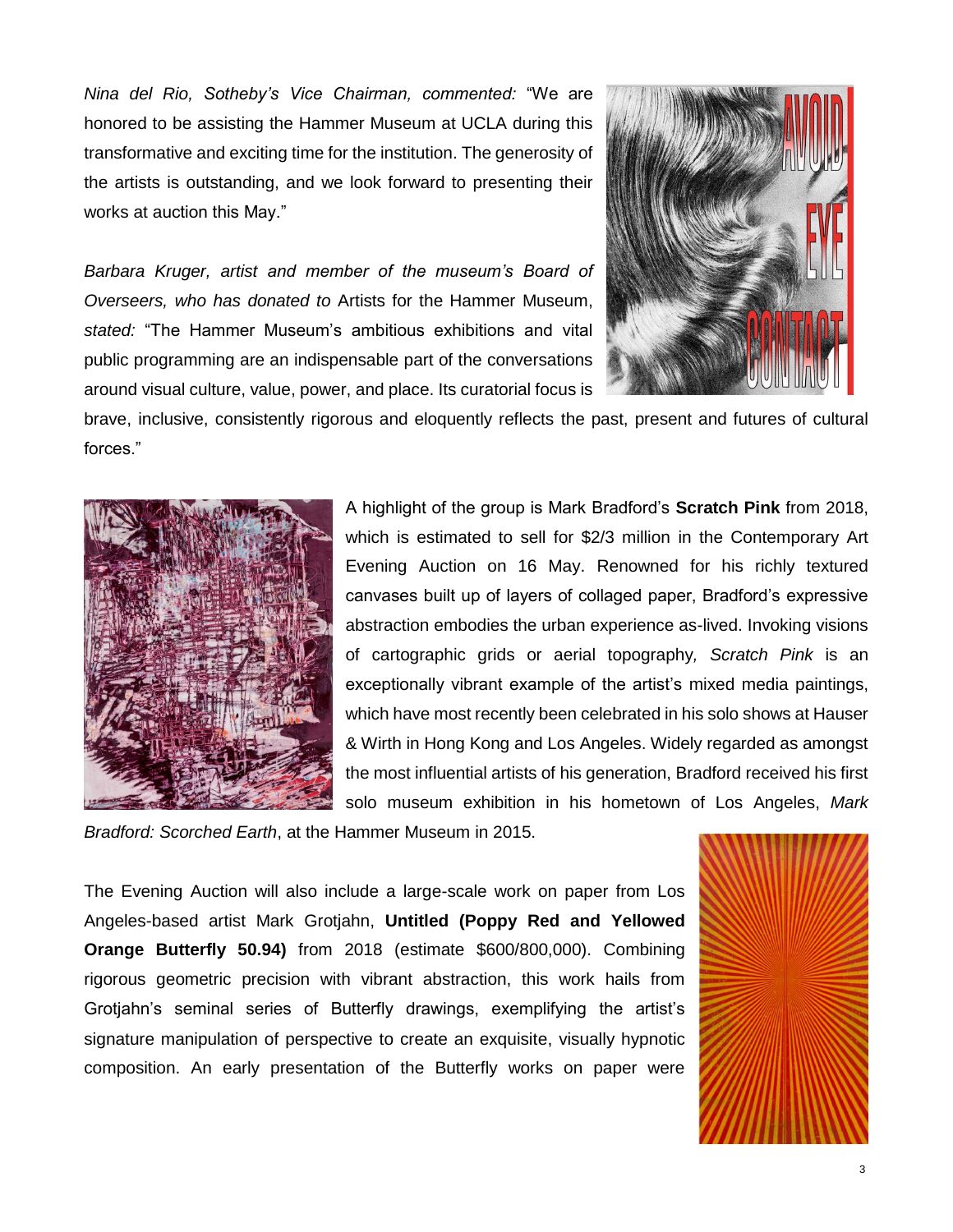*Nina del Rio, Sotheby's Vice Chairman, commented:* "We are honored to be assisting the Hammer Museum at UCLA during this transformative and exciting time for the institution. The generosity of the artists is outstanding, and we look forward to presenting their works at auction this May."

*Barbara Kruger, artist and member of the museum's Board of Overseers, who has donated to* Artists for the Hammer Museum, *stated:* "The Hammer Museum's ambitious exhibitions and vital public programming are an indispensable part of the conversations around visual culture, value, power, and place. Its curatorial focus is



brave, inclusive, consistently rigorous and eloquently reflects the past, present and futures of cultural forces."



A highlight of the group is Mark Bradford's **Scratch Pink** from 2018, which is estimated to sell for \$2/3 million in the Contemporary Art Evening Auction on 16 May. Renowned for his richly textured canvases built up of layers of collaged paper, Bradford's expressive abstraction embodies the urban experience as-lived. Invoking visions of cartographic grids or aerial topography*, Scratch Pink* is an exceptionally vibrant example of the artist's mixed media paintings, which have most recently been celebrated in his solo shows at Hauser & Wirth in Hong Kong and Los Angeles. Widely regarded as amongst the most influential artists of his generation, Bradford received his first solo museum exhibition in his hometown of Los Angeles, *Mark* 

*Bradford: Scorched Earth*, at the Hammer Museum in 2015.

The Evening Auction will also include a large-scale work on paper from Los Angeles-based artist Mark Grotjahn, **Untitled (Poppy Red and Yellowed Orange Butterfly 50.94)** from 2018 (estimate \$600/800,000). Combining rigorous geometric precision with vibrant abstraction, this work hails from Grotjahn's seminal series of Butterfly drawings, exemplifying the artist's signature manipulation of perspective to create an exquisite, visually hypnotic composition. An early presentation of the Butterfly works on paper were

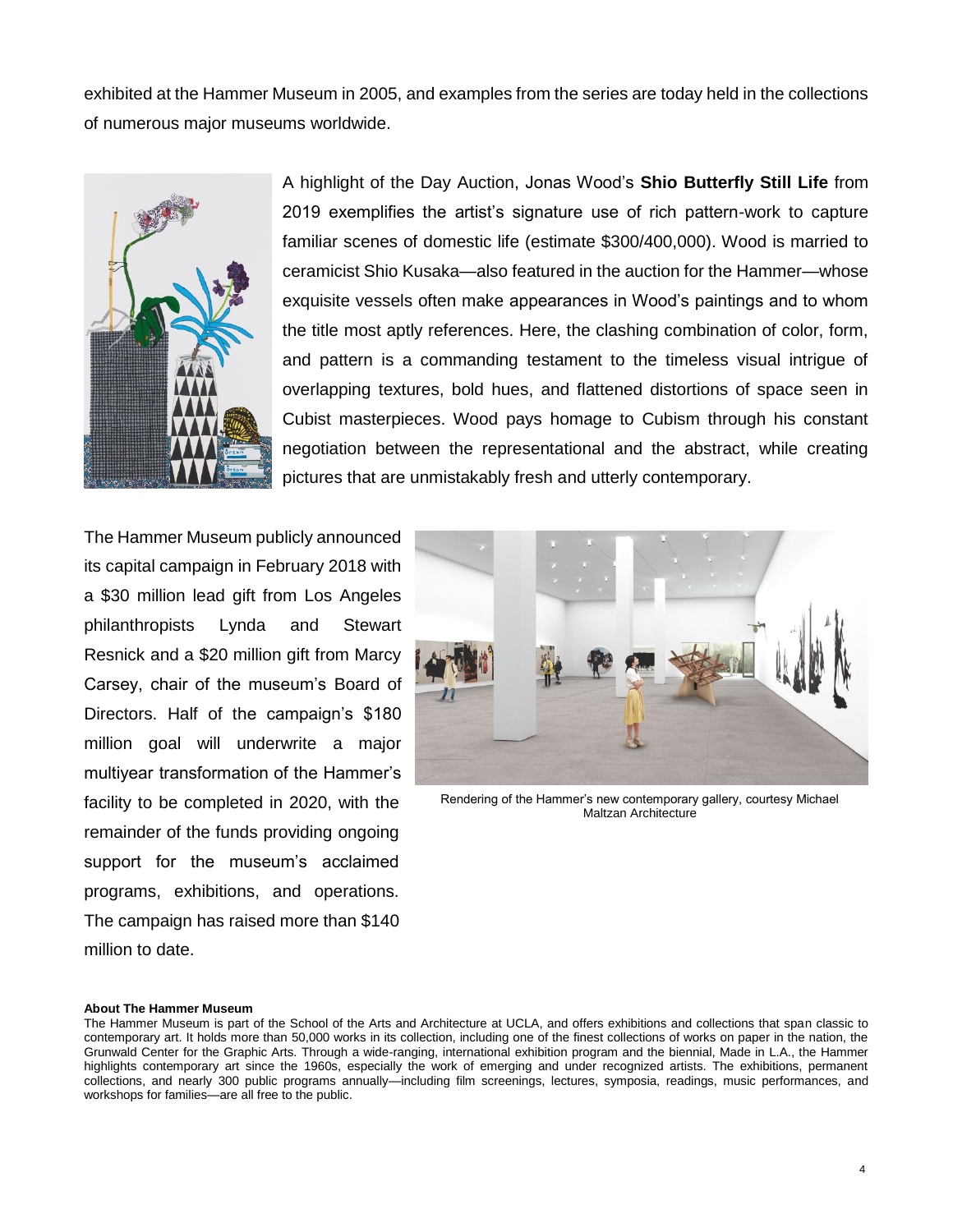exhibited at the Hammer Museum in 2005, and examples from the series are today held in the collections of numerous major museums worldwide.



A highlight of the Day Auction, Jonas Wood's **Shio Butterfly Still Life** from 2019 exemplifies the artist's signature use of rich pattern-work to capture familiar scenes of domestic life (estimate \$300/400,000). Wood is married to ceramicist Shio Kusaka—also featured in the auction for the Hammer—whose exquisite vessels often make appearances in Wood's paintings and to whom the title most aptly references. Here, the clashing combination of color, form, and pattern is a commanding testament to the timeless visual intrigue of overlapping textures, bold hues, and flattened distortions of space seen in Cubist masterpieces. Wood pays homage to Cubism through his constant negotiation between the representational and the abstract, while creating pictures that are unmistakably fresh and utterly contemporary.

The Hammer Museum publicly announced its capital campaign in February 2018 with a \$30 million lead gift from Los Angeles philanthropists Lynda and Stewart Resnick and a \$20 million gift from Marcy Carsey, chair of the museum's Board of Directors. Half of the campaign's \$180 million goal will underwrite a major multiyear transformation of the Hammer's facility to be completed in 2020, with the remainder of the funds providing ongoing support for the museum's acclaimed programs, exhibitions, and operations. The campaign has raised more than \$140 million to date.



Rendering of the Hammer's new contemporary gallery, courtesy Michael Maltzan Architecture

#### **About The Hammer Museum**

The Hammer Museum is part of the School of the Arts and Architecture at UCLA, and offers exhibitions and collections that span classic to contemporary art. It holds more than 50,000 works in its collection, including one of the finest collections of works on paper in the nation, the Grunwald Center for the Graphic Arts. Through a wide-ranging, international exhibition program and the biennial, Made in L.A., the Hammer highlights contemporary art since the 1960s, especially the work of emerging and under recognized artists. The exhibitions, permanent collections, and nearly 300 public programs annually—including film screenings, lectures, symposia, readings, music performances, and workshops for families—are all free to the public.